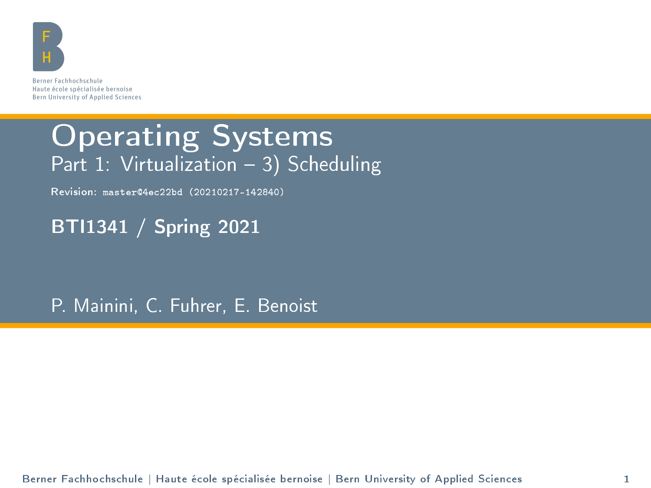

Berner Fachhochschule Haute école spécialisée bernoise Bern University of Applied Sciences

#### Operating Systems Part 1: Virtualization  $-3$ ) Scheduling

Revision: master@4ec22bd (20210217-142840)

BTI1341 / Spring 2021

P. Mainini, C. Fuhrer, E. Benoist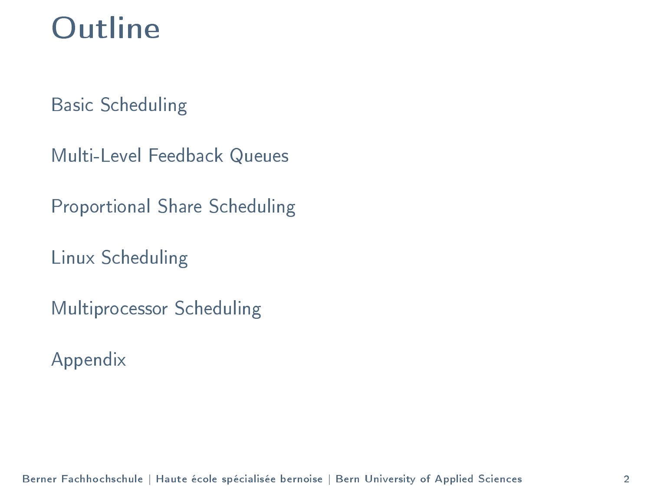#### **Outline**

[Basic Scheduling](#page-2-0)

[Multi-Level Feedback Queues](#page-20-0)

[Proportional Share Scheduling](#page-36-0)

[Linux Scheduling](#page-43-0)

[Multiprocessor Scheduling](#page-51-0)

[Appendix](#page-56-0)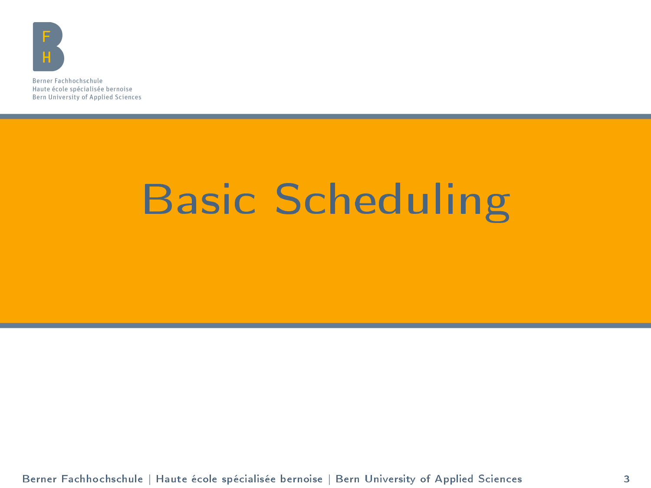<span id="page-2-0"></span>

Berner Fachhochschule Haute école spécialisée bernoise Bern University of Applied Sciences

## [Basic Scheduling](#page-2-0)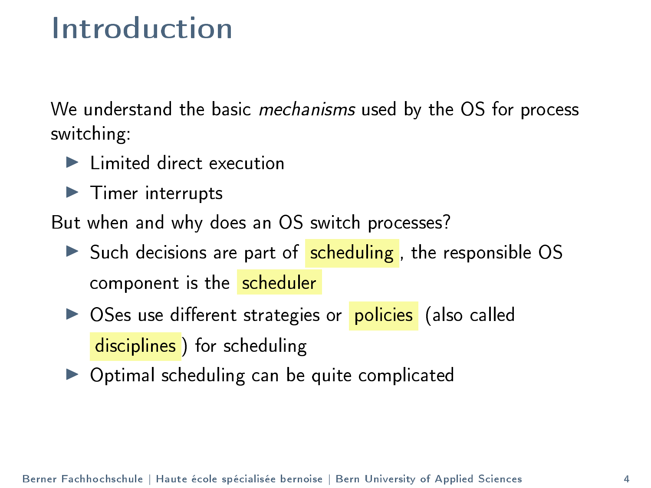#### Introduction

We understand the basic mechanisms used by the OS for process switching:

- $\blacktriangleright$  Limited direct execution
- $\blacktriangleright$  Timer interrupts

But when and why does an OS switch processes?

- $\triangleright$  Such decisions are part of scheduling, the responsible OS component is the scheduler
- ▶ OSes use different strategies or policies (also called disciplines) for scheduling
- $\triangleright$  Optimal scheduling can be quite complicated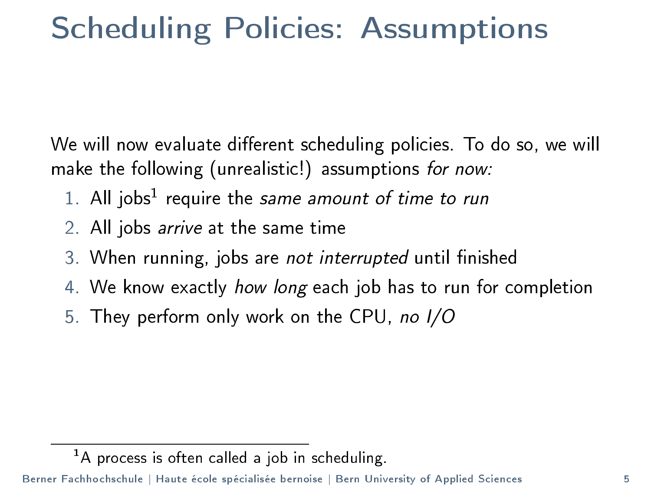#### Scheduling Policies: Assumptions

We will now evaluate different scheduling policies. To do so, we will make the following (unrealistic!) assumptions for now:

- 1. All jobs<sup>1</sup> require the same amount of time to run
- 2. All jobs arrive at the same time
- 3. When running, jobs are not interrupted until finished
- 4. We know exactly how long each job has to run for completion
- 5. They perform only work on the CPU, no I/O

 $<sup>1</sup>A$  process is often called a job in scheduling.</sup>

Berner Fachhochschule | Haute école spécialisée bernoise | Bern University of Applied Sciences 5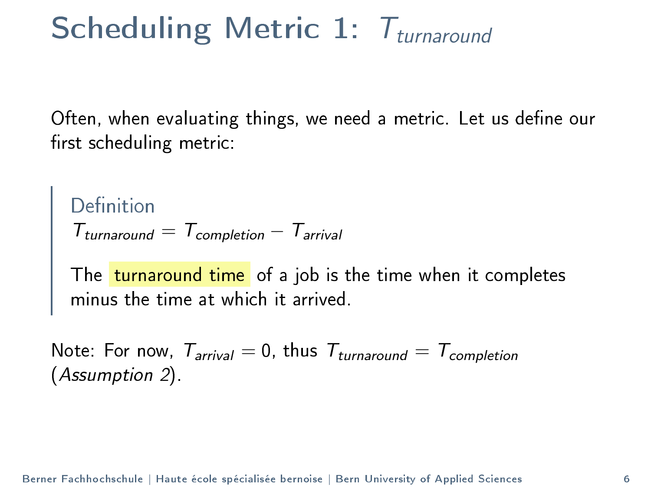## Scheduling Metric 1:  $T_{\text{turnaround}}$

Often, when evaluating things, we need a metric. Let us define our first scheduling metric:

Definition  $T_{\text{turnaround}} = T_{\text{completion}} - T_{\text{arrival}}$ 

The <mark>turnaround time</mark> of a job is the time when it completes minus the time at which it arrived.

Note: For now,  $T_{arrival} = 0$ , thus  $T_{turnaround} = T_{completion}$ (Assumption 2).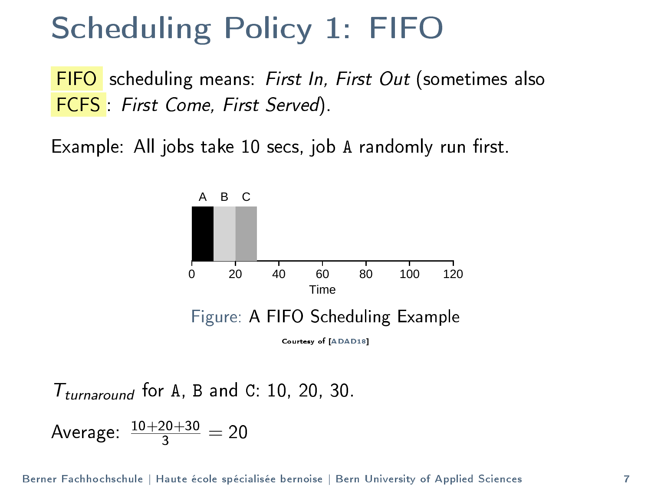#### Scheduling Policy 1: FIFO

FIFO scheduling means: First In, First Out (sometimes also FCFS : First Come, First Served).

Example: All jobs take 10 secs, job A randomly run first.



 $T_{\text{turnaround}}$  for A, B and C: 10, 20, 30.

Average:  $\frac{10+20+30}{3} = 20$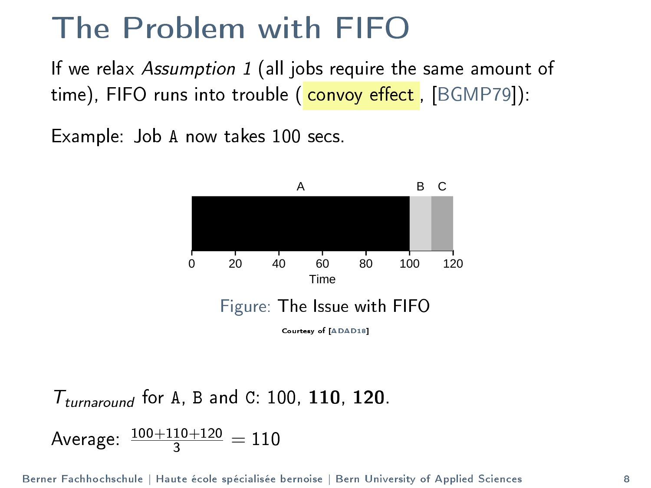#### The Problem with FIFO

If we relax *Assumption 1* (all jobs require the same amount of time), FIFO runs into trouble ( convoy effect, [\[BGMP79\]](#page-57-1)):

Example: Job A now takes 100 secs.



 $T_{\text{turnaround}}$  for A, B and C: 100, 110, 120.

Average:  $\frac{100+110+120}{3} = 110$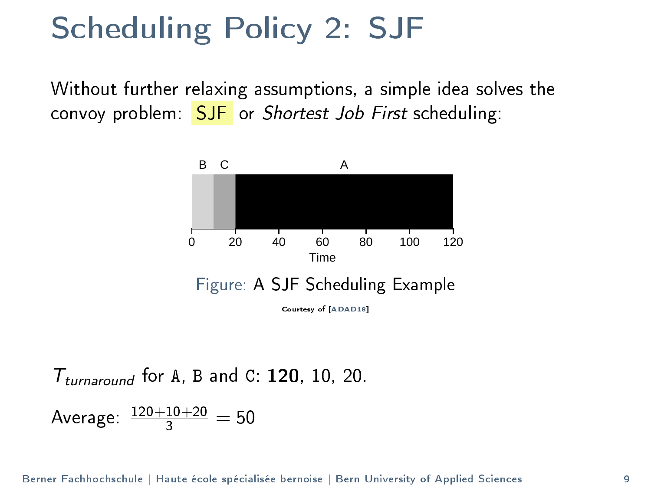#### Scheduling Policy 2: SJF

Without further relaxing assumptions, a simple idea solves the convoy problem:  $SJF$  or *Shortest Job First* scheduling:



 $T_{\text{turnaround}}$  for A, B and C: 120, 10, 20.

Average:  $\frac{120+10+20}{3} = 50$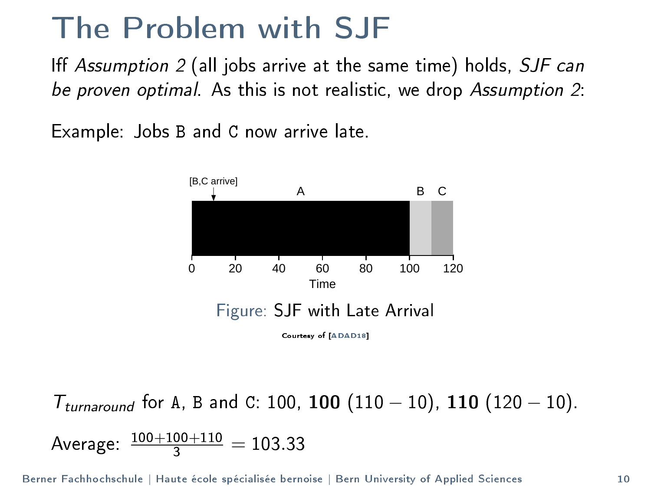#### The Problem with SJF

Iff Assumption  $2$  (all jobs arrive at the same time) holds,  $SJF$  can be proven optimal. As this is not realistic, we drop Assumption 2:

Example: Jobs B and C now arrive late.



 $T_{\text{turnaround}}$  for A, B and C: 100, 100 (110  $-$  10), 110 (120  $-$  10). Average:  $\frac{100+100+110}{3} = 103.33$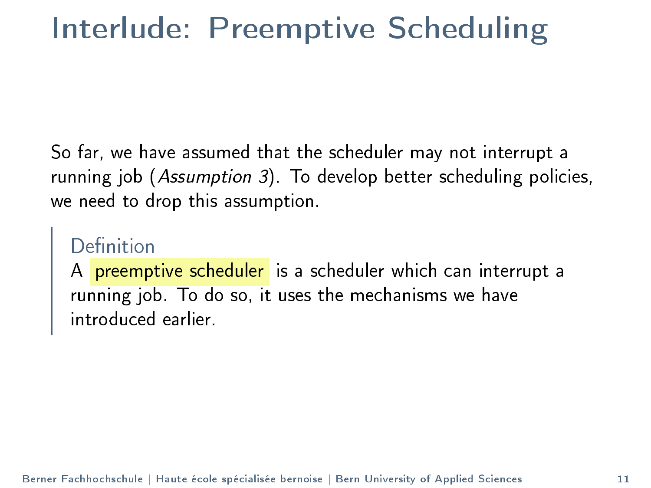#### Interlude: Preemptive Scheduling

So far, we have assumed that the scheduler may not interrupt a running job (Assumption 3). To develop better scheduling policies, we need to drop this assumption.

#### Definition

A <mark>preemptive scheduler</mark> is a scheduler which can interrupt a running job. To do so, it uses the mechanisms we have introduced earlier.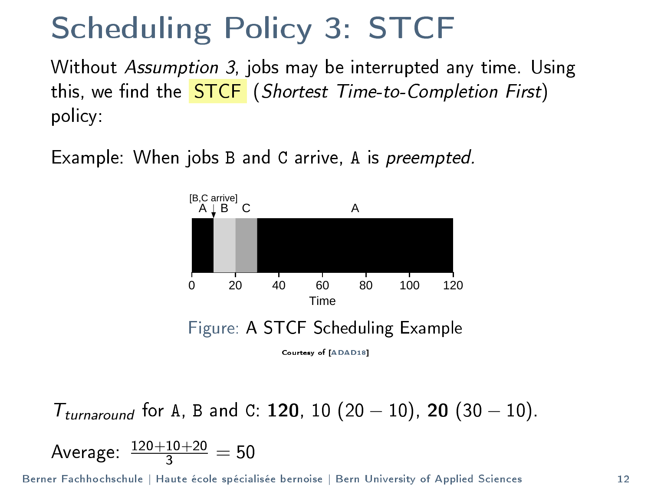#### Scheduling Policy 3: STCF

Without Assumption 3, jobs may be interrupted any time. Using this, we find the **STCF** (Shortest Time-to-Completion First) policy:

Example: When jobs B and C arrive, A is preempted.



 $T_{\text{turnaround}}$  for A, B and C: 120, 10 (20 – 10), 20 (30 – 10). Average:  $\frac{120+10+20}{3} = 50$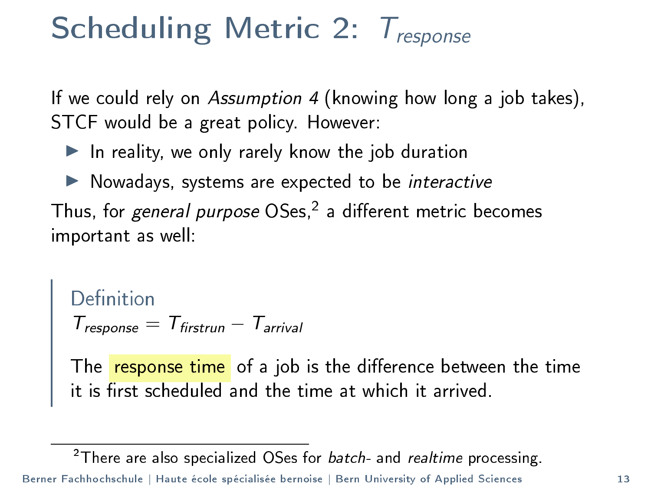#### Scheduling Metric 2:  $T_{response}$

If we could rely on Assumption 4 (knowing how long a job takes), STCF would be a great policy. However:

- $\blacktriangleright$  In reality, we only rarely know the job duration
- $\blacktriangleright$  Nowadays, systems are expected to be interactive

Thus, for *general purpose* OSes,<sup>2</sup> a different metric becomes important as well:

```
Definition
T_{response} = T_{firstrun} - T_{arrival}
```
The <mark>response time</mark> of a job is the difference between the time it is first scheduled and the time at which it arrived.

<sup>2</sup>There are also specialized OSes for  $batch$ - and  $relative$  processing. Berner Fachhochschule | Haute école spécialisée bernoise | Bern University of Applied Sciences 13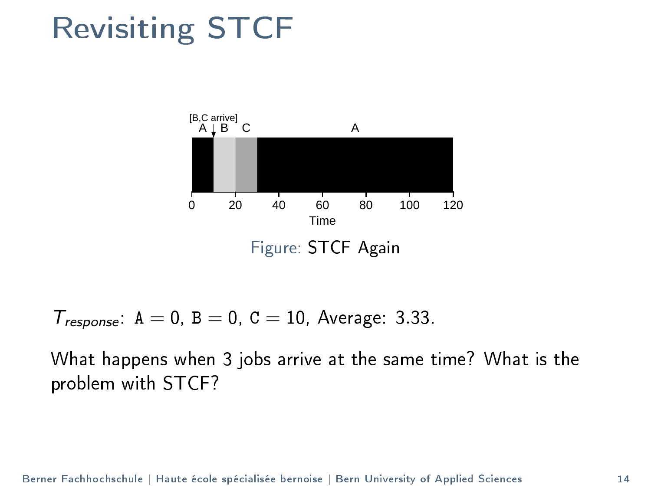#### Revisiting STCF



 $T_{response}$ :  $A = 0$ ,  $B = 0$ ,  $C = 10$ , Average: 3.33.

What happens when 3 jobs arrive at the same time? What is the problem with STCF?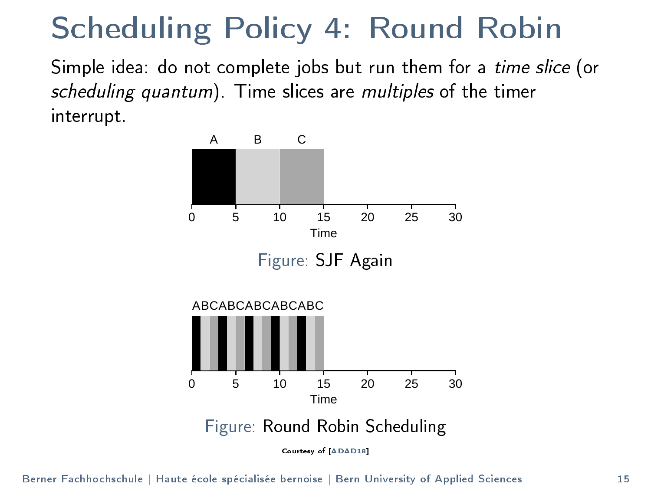#### Scheduling Policy 4: Round Robin

Simple idea: do not complete jobs but run them for a time slice (or scheduling quantum). Time slices are multiples of the timer interrupt.

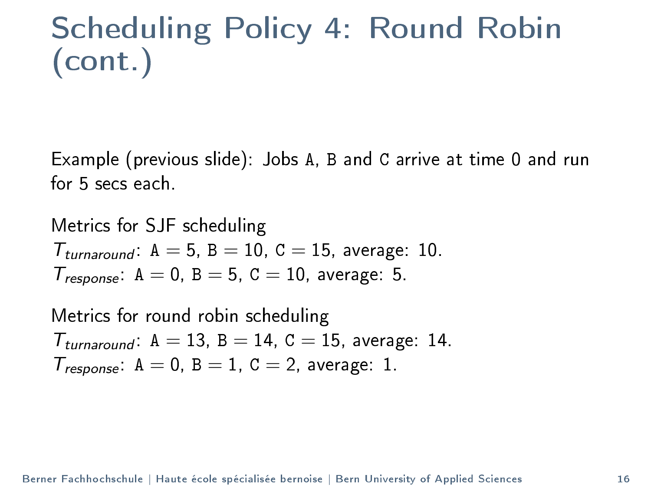Scheduling Policy 4: Round Robin (cont.)

Example (previous slide): Jobs A, B and C arrive at time 0 and run for 5 secs each.

Metrics for SJF scheduling  $T_{\text{turnaround}}$ :  $A = 5$ ,  $B = 10$ ,  $C = 15$ , average: 10.  $T_{response}$ :  $A = 0$ ,  $B = 5$ ,  $C = 10$ , average: 5.

Metrics for round robin scheduling  $T_{\text{turnaround}}$ :  $A = 13$ ,  $B = 14$ ,  $C = 15$ , average: 14.  $T_{response}$ :  $A = 0$ ,  $B = 1$ ,  $C = 2$ , average: 1.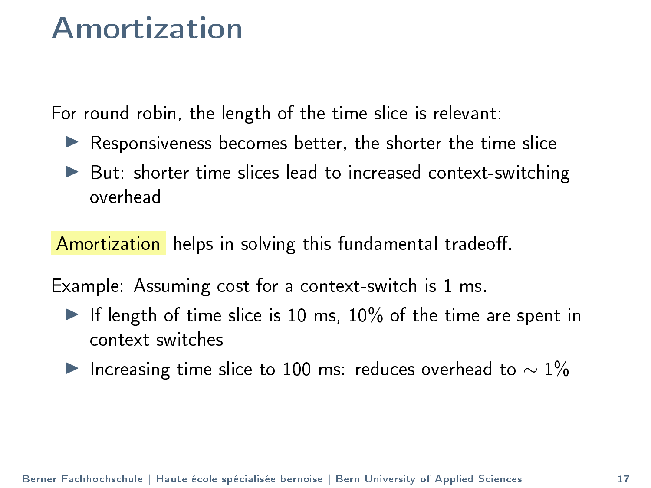#### Amortization

For round robin, the length of the time slice is relevant:

- $\blacktriangleright$  Responsiveness becomes better, the shorter the time slice
- $\blacktriangleright$  But: shorter time slices lead to increased context-switching overhead

Amortization helps in solving this fundamental tradeoff.

Example: Assuming cost for a context-switch is 1 ms.

- If length of time slice is 10 ms,  $10\%$  of the time are spent in context switches
- $\blacktriangleright$  Increasing time slice to 100 ms: reduces overhead to  $\sim 1\%$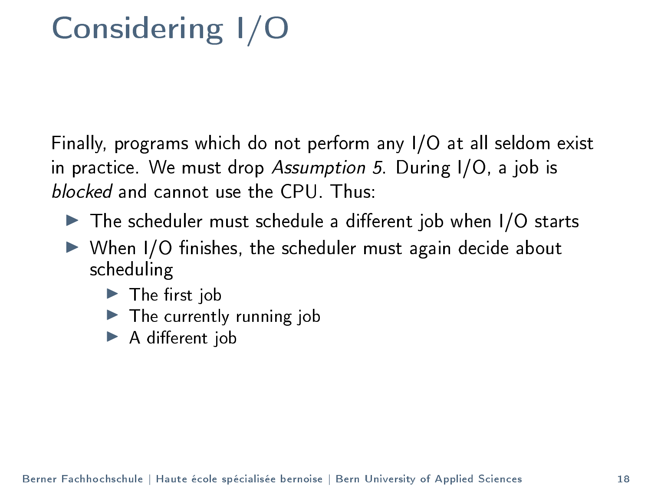## Considering I/O

Finally, programs which do not perform any I/O at all seldom exist in practice. We must drop Assumption 5. During I/O, a job is blocked and cannot use the CPU. Thus:

- $\blacktriangleright$  The scheduler must schedule a different job when I/O starts
- $\triangleright$  When I/O finishes, the scheduler must again decide about scheduling
	- $\blacktriangleright$  The first job
	- $\blacktriangleright$  The currently running job
	- $\blacktriangleright$  A different job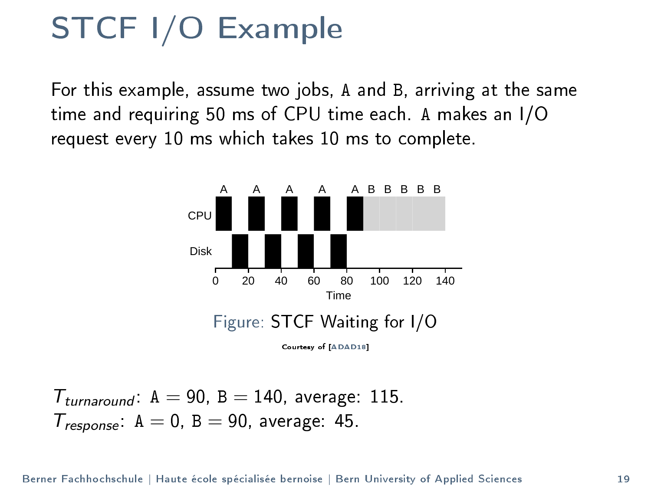#### STCF I/O Example

For this example, assume two jobs, A and B, arriving at the same time and requiring 50 ms of CPU time each. A makes an I/O request every 10 ms which takes 10 ms to complete.



 $T_{turnaround}$   $A = 90$ ,  $B = 140$ , average: 115.  $T_{response}$ :  $A = 0$ ,  $B = 90$ , average: 45.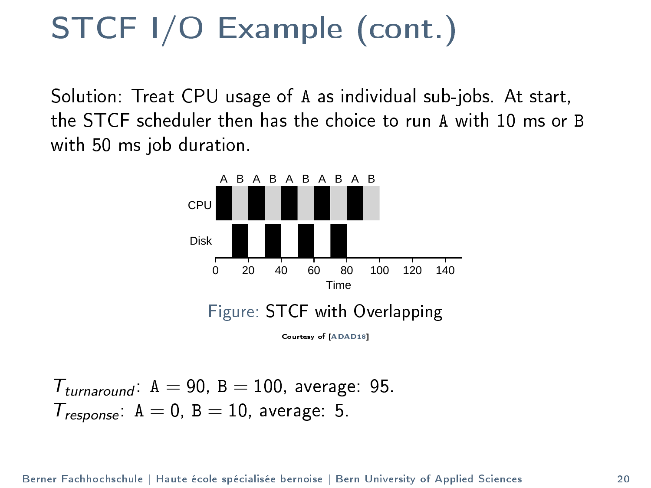#### STCF I/O Example (cont.)

Solution: Treat CPU usage of A as individual sub-jobs. At start, the STCF scheduler then has the choice to run A with 10 ms or B with 50 ms job duration.



 $T_{\text{turnaround}}$   $A = 90$ ,  $B = 100$ , average: 95.  $T_{response}$ :  $A = 0$ ,  $B = 10$ , average: 5.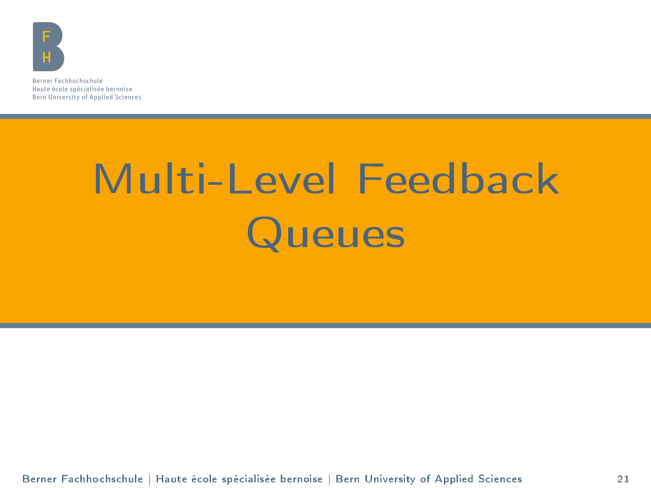<span id="page-20-0"></span>

Berner Fachhochschule Haute école spécialisée bernoise Bern University of Applied Sciences

# [Multi-Level Feedback](#page-20-0) **[Queues](#page-20-0)**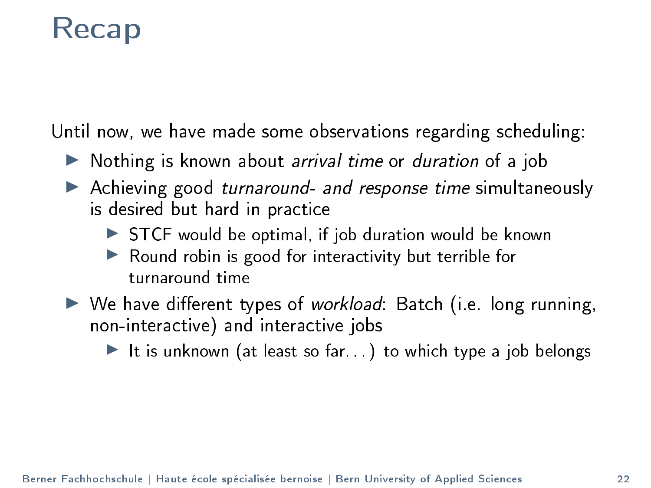#### Recap

Until now, we have made some observations regarding scheduling:

- $\triangleright$  Nothing is known about *arrival time* or *duration* of a job
- $\blacktriangleright$  Achieving good turnaround- and response time simultaneously is desired but hard in practice
	- $\triangleright$  STCF would be optimal, if job duration would be known
	- $\blacktriangleright$  Round robin is good for interactivity but terrible for turnaround time
- $\triangleright$  We have different types of workload: Batch (i.e. long running, non-interactive) and interactive jobs

It is unknown (at least so far. . .) to which type a job belongs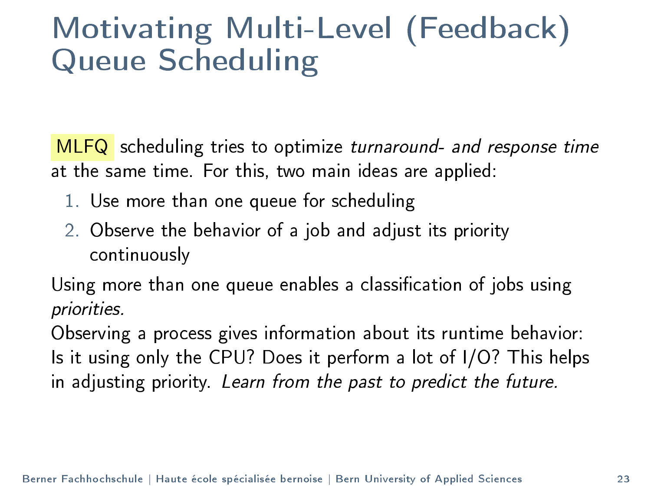#### Motivating Multi-Level (Feedback) Queue Scheduling

MLFQ scheduling tries to optimize turnaround- and response time at the same time. For this, two main ideas are applied:

- 1. Use more than one queue for scheduling
- 2. Observe the behavior of a job and adjust its priority continuously

Using more than one queue enables a classification of jobs using priorities.

Observing a process gives information about its runtime behavior: Is it using only the CPU? Does it perform a lot of I/O? This helps in adjusting priority. Learn from the past to predict the future.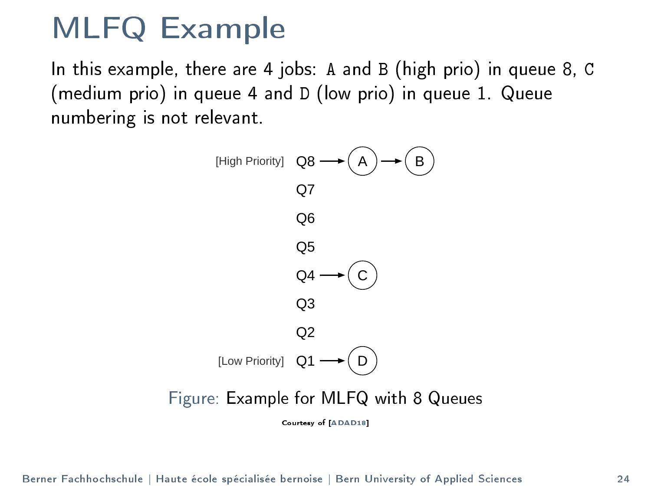#### MLFQ Example

In this example, there are 4 jobs: A and B (high prio) in queue 8, C (medium prio) in queue 4 and D (low prio) in queue 1. Queue numbering is not relevant.

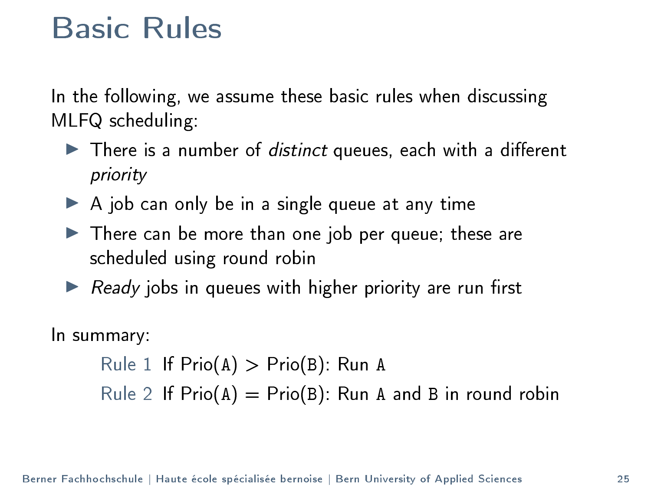#### Basic Rules

In the following, we assume these basic rules when discussing MLFQ scheduling:

- $\blacktriangleright$  There is a number of *distinct* queues, each with a different priority
- $\triangleright$  A job can only be in a single queue at any time
- $\blacktriangleright$  There can be more than one job per queue; these are scheduled using round robin
- $\triangleright$  Ready jobs in queues with higher priority are run first

#### In summary:

```
Rule 1 If Prio(A) > Prio(B): Run A
Rule 2 If \text{Prio}(A) = \text{Prio}(B): Run A and B in round robin
```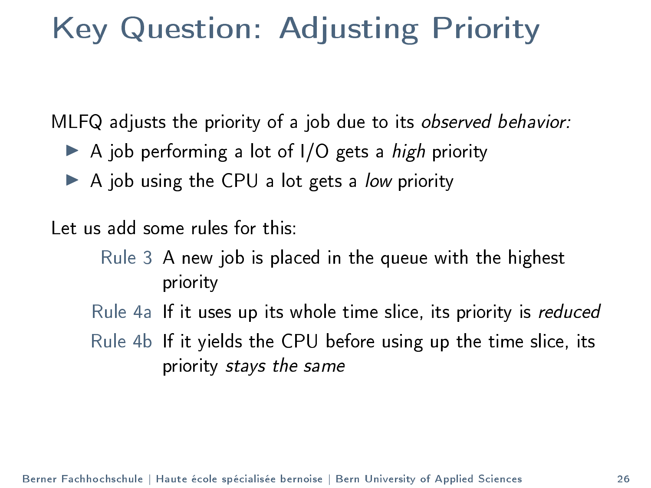#### Key Question: Adjusting Priority

MLFQ adjusts the priority of a job due to its observed behavior:

- $\triangleright$  A iob performing a lot of I/O gets a *high* priority
- $\triangleright$  A job using the CPU a lot gets a low priority

Let us add some rules for this:

Rule 3 A new job is placed in the queue with the highest priority

Rule 4a If it uses up its whole time slice, its priority is reduced

Rule 4b If it yields the CPU before using up the time slice, its priority stays the same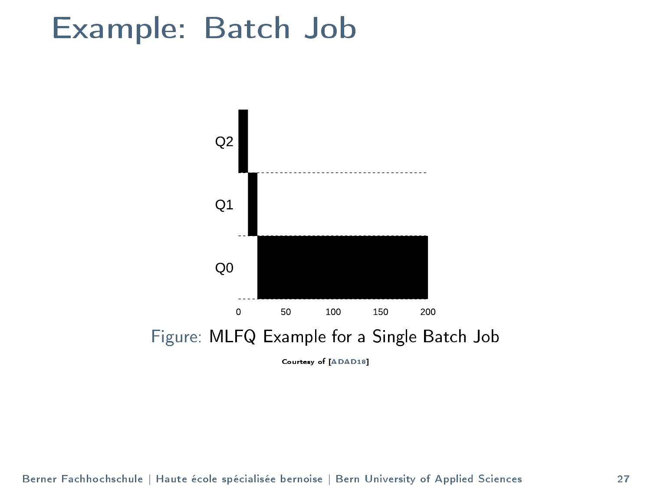#### Example: Batch Job

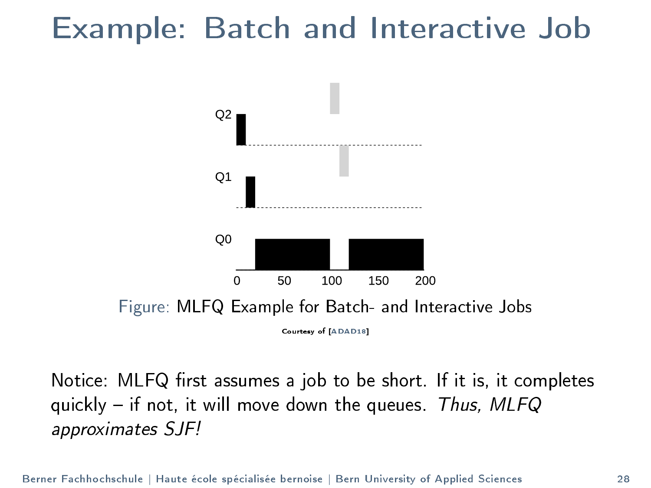#### Example: Batch and Interactive Job



Courtesy of [\[ADAD18\]](#page-57-0)

Notice: MLFQ first assumes a job to be short. If it is, it completes quickly  $-$  if not, it will move down the queues. Thus, MLFQ approximates SJF!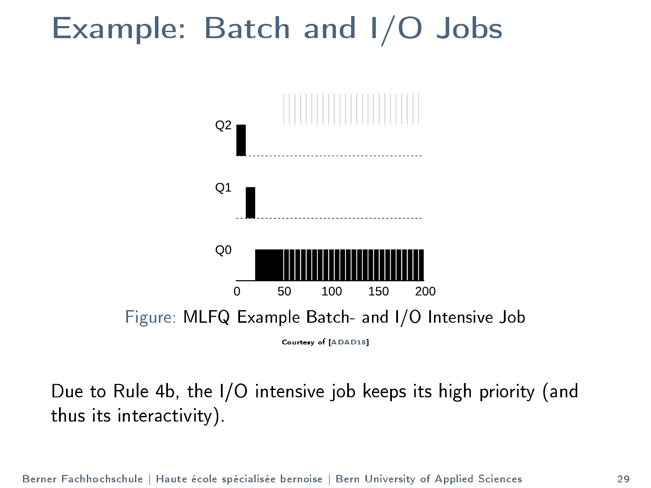#### Example: Batch and I/O Jobs



Due to Rule 4b, the I/O intensive job keeps its high priority (and thus its interactivity).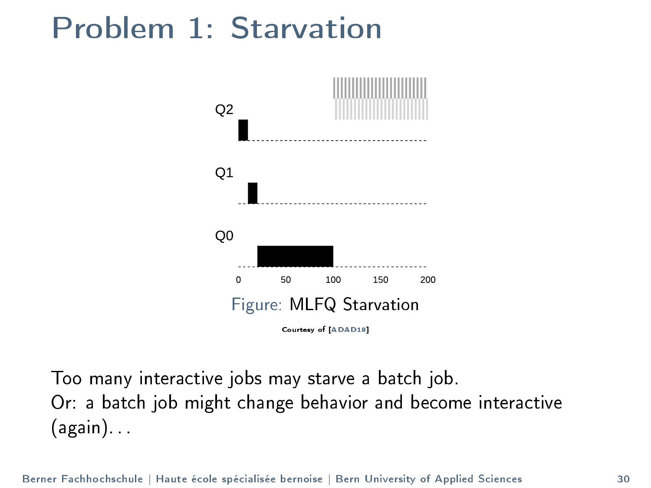#### Problem 1: Starvation



Too many interactive jobs may starve a batch job. Or: a batch job might change behavior and become interactive (again). . .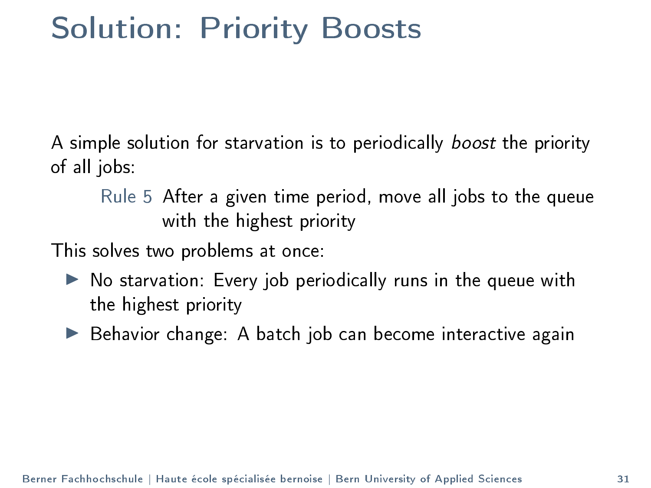#### Solution: Priority Boosts

A simple solution for starvation is to periodically boost the priority of all jobs:

Rule 5 After a given time period, move all jobs to the queue with the highest priority

This solves two problems at once:

- $\triangleright$  No starvation: Every job periodically runs in the queue with the highest priority
- $\blacktriangleright$  Behavior change: A batch job can become interactive again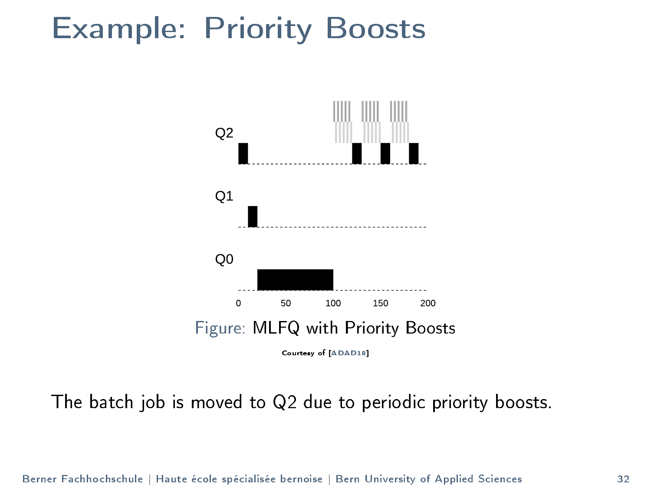#### Example: Priority Boosts



The batch job is moved to Q2 due to periodic priority boosts.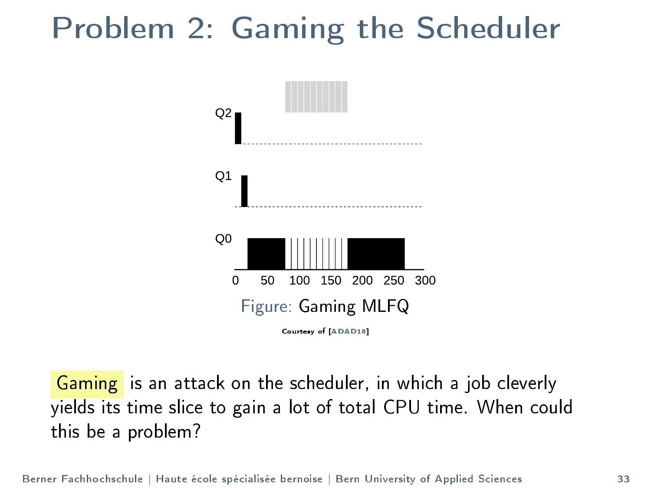#### Problem 2: Gaming the Scheduler



Gaming is an attack on the scheduler, in which a job cleverly yields its time slice to gain a lot of total CPU time. When could this be a problem?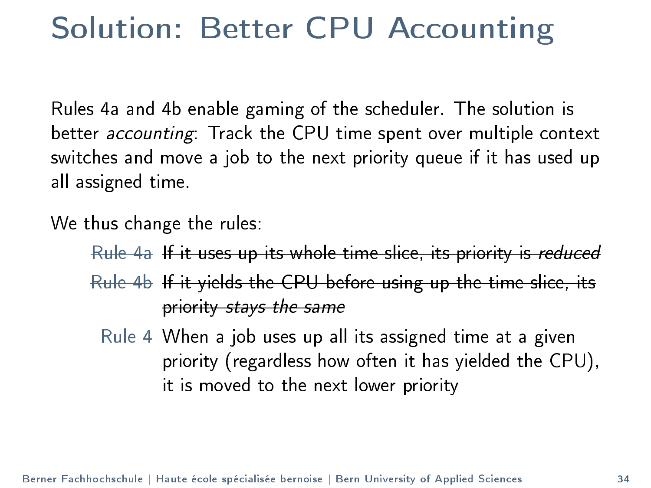#### Solution: Better CPU Accounting

Rules 4a and 4b enable gaming of the scheduler. The solution is better accounting: Track the CPU time spent over multiple context switches and move a job to the next priority queue if it has used up all assigned time.

We thus change the rules:

Rule 4a If it uses up its whole time slice, its priority is reduced Rule 4b If it yields the CPU before using up the time slice, its

priority stays the same

Rule 4 When a job uses up all its assigned time at a given priority (regardless how often it has yielded the CPU), it is moved to the next lower priority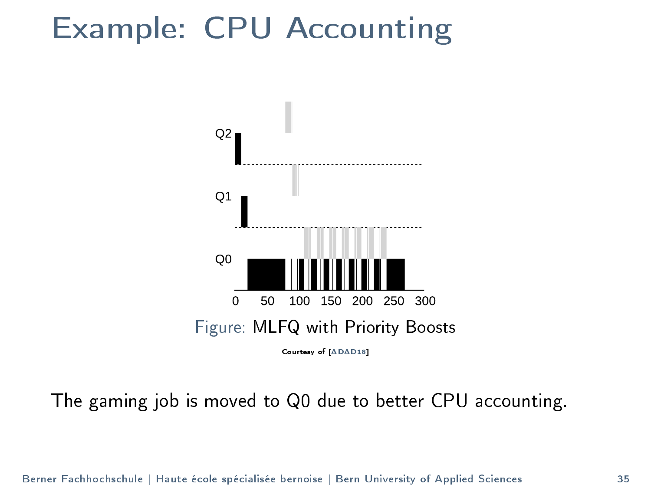#### Example: CPU Accounting



The gaming job is moved to Q0 due to better CPU accounting.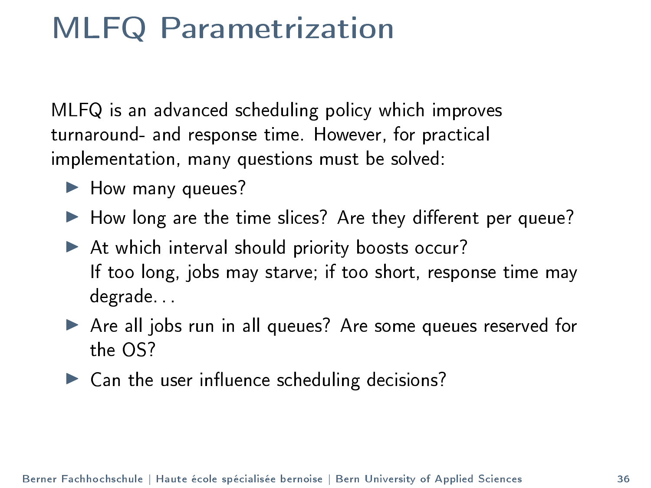#### MLFQ Parametrization

MLFQ is an advanced scheduling policy which improves turnaround- and response time. However, for practical implementation, many questions must be solved:

- $\blacktriangleright$  How many queues?
- $\blacktriangleright$  How long are the time slices? Are they different per queue?
- $\blacktriangleright$  At which interval should priority boosts occur? If too long, jobs may starve; if too short, response time may degrade. . .
- ▶ Are all jobs run in all queues? Are some queues reserved for the OS?
- $\blacktriangleright$  Can the user influence scheduling decisions?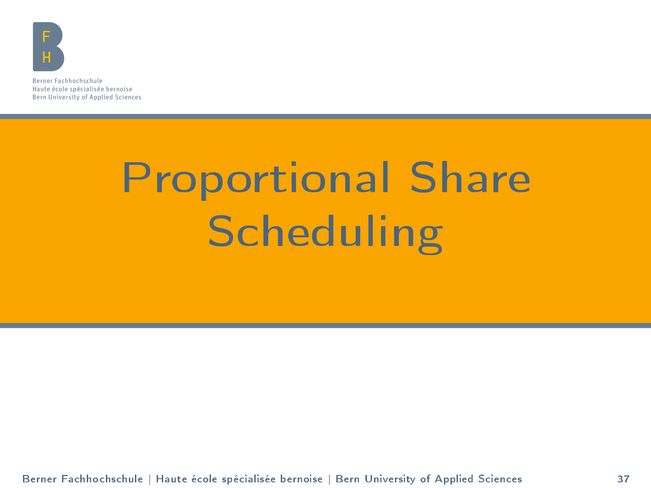<span id="page-36-0"></span>

Berner Fachhochschule Haute école spécialisée bernoise Bern University of Applied Sciences

# [Proportional Share](#page-36-0) **[Scheduling](#page-36-0)**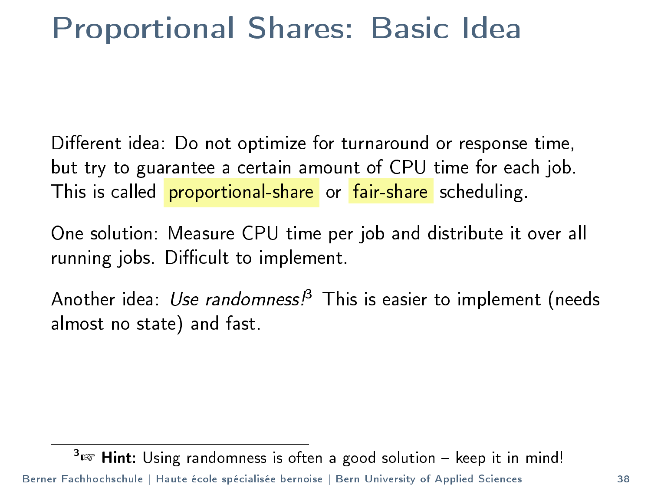#### Proportional Shares: Basic Idea

Different idea: Do not optimize for turnaround or response time, but try to guarantee a certain amount of CPU time for each job. This is called **proportional-share** or fair-share scheduling.

One solution: Measure CPU time per job and distribute it over all running jobs. Difficult to implement.

Another idea: Use randomness!<sup>3</sup> This is easier to implement (needs almost no state) and fast.

 $3 \times 3$  Hint: Using randomness is often a good solution - keep it in mind! Berner Fachhochschule | Haute école spécialisée bernoise | Bern University of Applied Sciences 38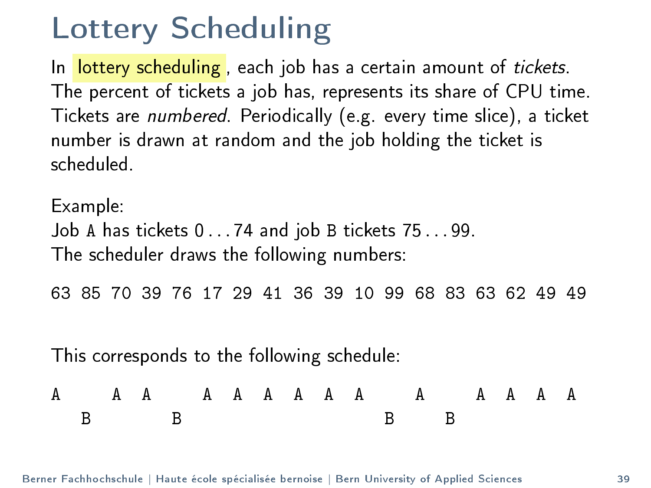#### Lottery Scheduling

In lottery scheduling, each job has a certain amount of tickets. The percent of tickets a job has, represents its share of CPU time. Tickets are numbered. Periodically (e.g. every time slice), a ticket number is drawn at random and the job holding the ticket is scheduled.

Example: Job A has tickets 0 . . . 74 and job B tickets 75 . . . 99. The scheduler draws the following numbers:

63 85 70 39 76 17 29 41 36 39 10 99 68 83 63 62 49 49

This corresponds to the following schedule:

|  |  |  |  |  |  | A AA AAAAAA A AAAAA |  |  |  |
|--|--|--|--|--|--|---------------------|--|--|--|
|  |  |  |  |  |  |                     |  |  |  |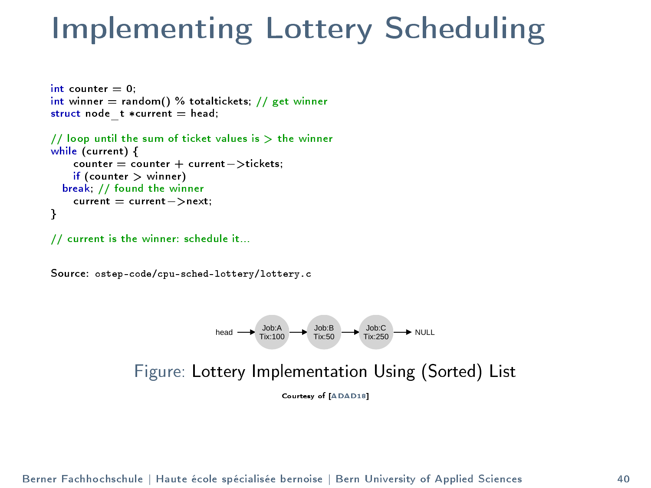#### Implementing Lottery Scheduling

```
int counter = 0:
int winner = random() % totaltickets; // get winner
struct node t * current = head;
// loop until the sum of ticket values is > the winner
while (current) {
    counter = counter + current−>tickets;
    if (counter > winner)
  break; // found the winner
    current = current−>next;
}
```
// current is the winner: schedule it...

Source: ostep-code/cpu-sched-lottery/lottery.c



Figure: Lottery Implementation Using (Sorted) List

Courtesy of [\[ADAD18\]](#page-57-0)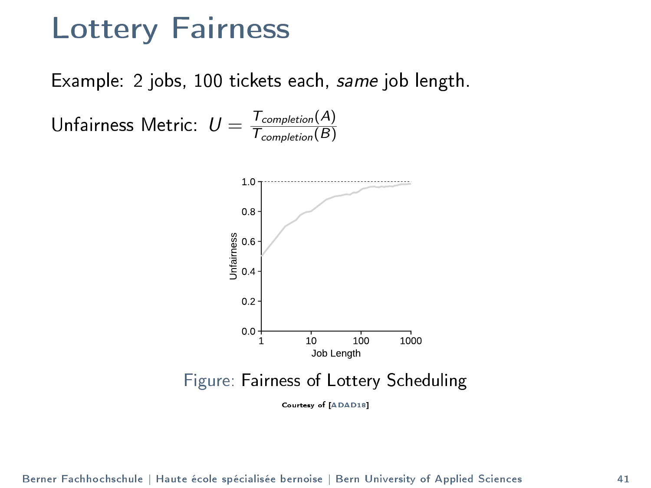#### Lottery Fairness

Example: 2 jobs, 100 tickets each, same job length.

Unfairness Metric:  $U = \frac{T_{completion}(A)}{T_{comulation}(B)}$  $\tau_{\textit{completion}}(B)$ 

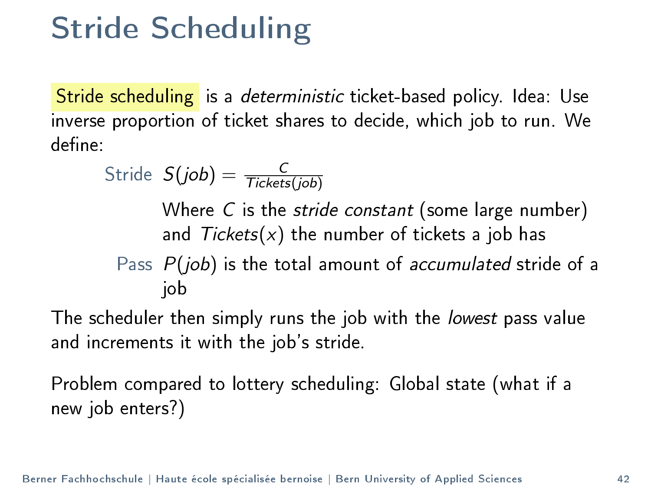#### Stride Scheduling

Stride scheduling is a deterministic ticket-based policy. Idea: Use inverse proportion of ticket shares to decide, which job to run. We define:

$$
\text{Stride } S(job) = \frac{C}{\text{Tickets}(job)}
$$

Where C is the *stride constant* (some large number) and  $Tickets(x)$  the number of tickets a job has

Pass 
$$
P(job)
$$
 is the total amount of accumulated stride of a job

The scheduler then simply runs the job with the *lowest* pass value and increments it with the job's stride.

Problem compared to lottery scheduling: Global state (what if a new job enters?)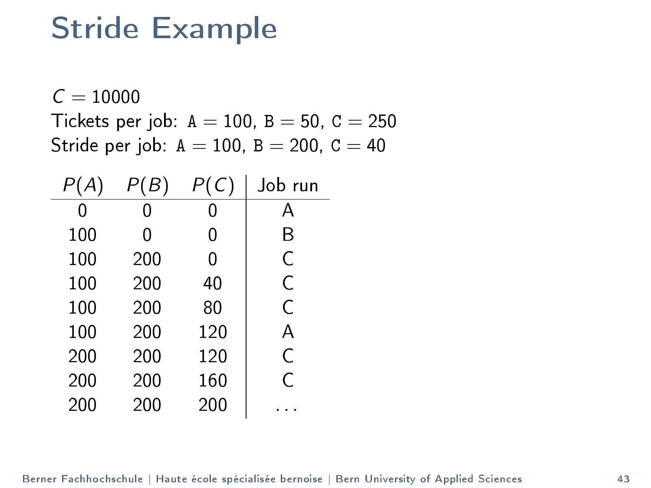#### Stride Example

 $C = 10000$ Tickets per job:  $A = 100$ ,  $B = 50$ ,  $C = 250$ Stride per job:  $A = 100$ ,  $B = 200$ ,  $C = 40$ 

|     | Β   | C)  | Job run |
|-----|-----|-----|---------|
| Ω   | 0   | Ω   | А       |
| 100 | 0   | 0   | B       |
| 100 | 200 | Ω   | C       |
| 100 | 200 | 40  | Ċ       |
| 100 | 200 | 80  | C       |
| 100 | 200 | 120 | А       |
| 200 | 200 | 120 | C       |
| 200 | 200 | 160 | Ċ       |
| 200 | 200 | 200 |         |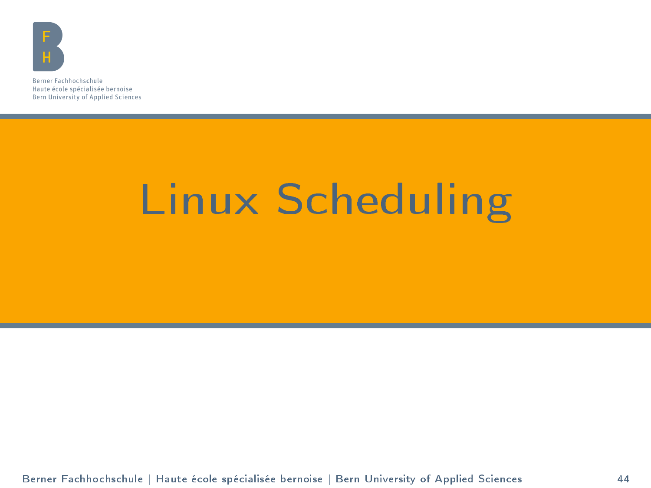<span id="page-43-0"></span>

Berner Fachhochschule Haute école spécialisée bernoise Bern University of Applied Sciences

## [Linux Scheduling](#page-43-0)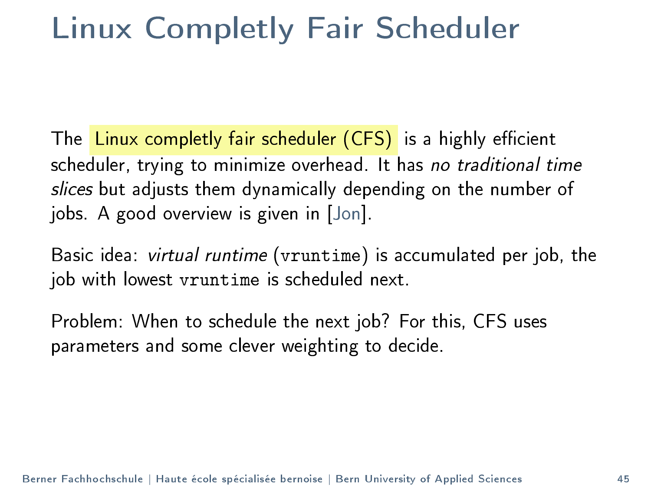#### Linux Completly Fair Scheduler

The Linux completly fair scheduler (CFS) is a highly efficient scheduler, trying to minimize overhead. It has no traditional time slices but adjusts them dynamically depending on the number of jobs. A good overview is given in [\[Jon\]](#page-57-2).

Basic idea: virtual runtime (vruntime) is accumulated per job, the job with lowest vruntime is scheduled next.

Problem: When to schedule the next job? For this, CFS uses parameters and some clever weighting to decide.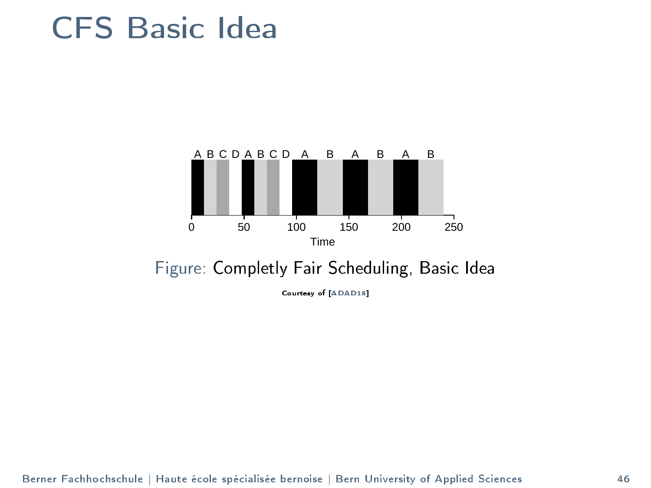#### CFS Basic Idea



#### Figure: Completly Fair Scheduling, Basic Idea

Courtesy of [\[ADAD18\]](#page-57-0)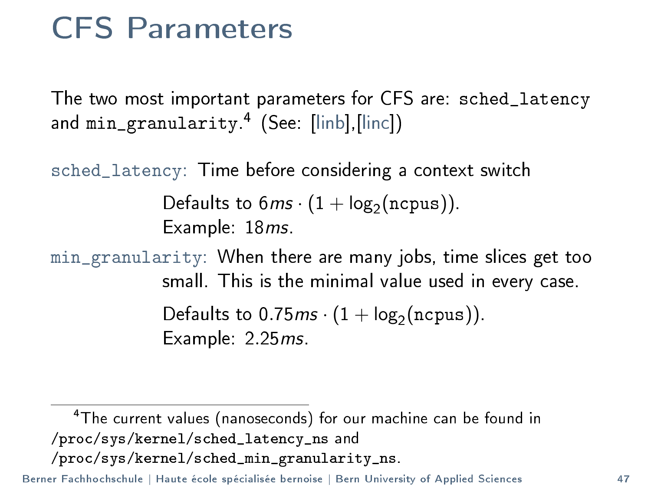#### CFS Parameters

The two most important parameters for CFS are: sched\_latency and min\_granularity. 4 (See: [\[linb\]](#page-58-0),[\[linc\]](#page-58-1))

sched\_latency: Time before considering a context switch

Defaults to  $6ms \cdot (1 + \log_2(ncpus))$ . Example: 18ms.

min\_granularity: When there are many jobs, time slices get too small. This is the minimal value used in every case. Defaults to 0.75 $ms \cdot (1 + \log_2 (ncpus))$ . Example: 2.25ms.

<sup>4</sup>The current values (nanoseconds) for our machine can be found in /proc/sys/kernel/sched\_latency\_ns and /proc/sys/kernel/sched\_min\_granularity\_ns.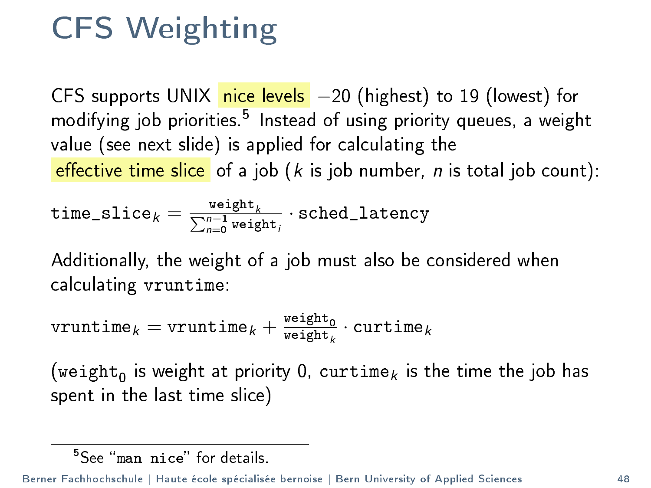### CFS Weighting

CFS supports UNIX nice levels -20 (highest) to 19 (lowest) for modifying job priorities.<sup>5</sup> Instead of using priority queues, a weight value (see next slide) is applied for calculating the effective time slice of a job  $(k$  is job number, n is total job count):

$$
\texttt{time\_slice}_k = \frac{\texttt{weight}_k}{\sum_{n=0}^{n-1}\texttt{weight}_i} \cdot \texttt{sched\_latency}
$$

Additionally, the weight of a job must also be considered when calculating vruntime:

$$
\texttt{vruntime}_k = \texttt{vruntime}_k + \tfrac{\texttt{weight}_0}{\texttt{weight}_k} \cdot \texttt{cuttime}_k
$$

(weight $_{\scriptstyle\rm 0}$  is weight at priority 0, curtime $_k$  is the time the job has spent in the last time slice)

 $5S_{\text{PP}}$  "man nice" for details.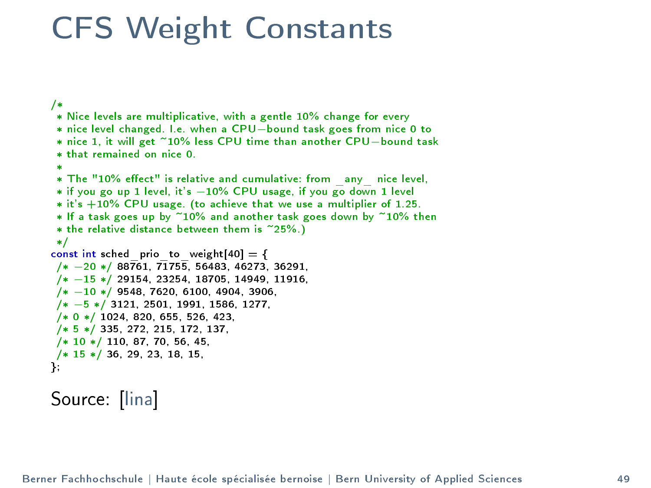#### CFS Weight Constants

```
/*
 \ast Nice levels are multiplicative, with a gentle 10\% change for every
 * nice level changed. I.e. when a CPU−bound task goes from nice 0 to
 * nice 1, it will get ~10% less CPU time than another CPU−bound task
 * that remained on nice 0.
 ** The "10% effect" is relative and cumulative: from _any_ nice level,
 * if you go up 1 level, it's −10% CPU usage, if you go down 1 level
 * it's +10\% CPU usage. (to achieve that we use a multiplier of 1.25.\ast If a task goes up by \widetilde{\phantom{a}} 10% and another task goes down by \widetilde{\phantom{a}} 10% then
 \ast the relative distance between them is \degree25%.)
 */
const int sched priot oweight[40] = {
/* −20 */ 88761, 71755, 56483, 46273, 36291,
 /* −15 */ 29154, 23254, 18705, 14949, 11916,
 /* −10 */ 9548, 7620, 6100, 4904, 3906,
 /* −5 */ 3121, 2501, 1991, 1586, 1277,
 /* 0 */ 1024, 820, 655, 526, 423,
 /* 5 */ 335, 272, 215, 172, 137,
 /* 10 */ 110, 87, 70, 56, 45,
/* 15 */ 36, 29, 23, 18, 15,
};
```
#### Source: [\[lina\]](#page-57-3)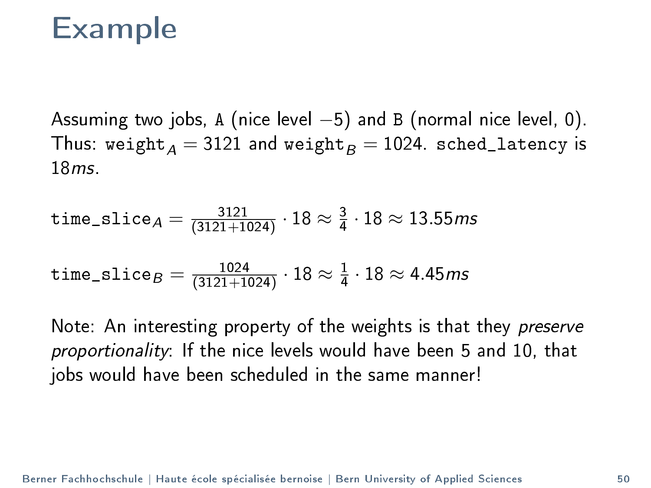#### Example

Assuming two jobs, A (nice level  $-5$ ) and B (normal nice level, 0). Thus: weight<sub>A</sub> = 3121 and weight<sub>R</sub> = 1024. sched\_latency is 18ms.

time\_slice<sub>A</sub> = 
$$
\frac{3121}{(3121+1024)} \cdot 18 \approx \frac{3}{4} \cdot 18 \approx 13.55
$$
ms

time\_slice<sub>B</sub> = 
$$
\frac{1024}{(3121+1024)} \cdot 18 \approx \frac{1}{4} \cdot 18 \approx 4.45
$$
ms

Note: An interesting property of the weights is that they preserve proportionality: If the nice levels would have been 5 and 10, that jobs would have been scheduled in the same manner!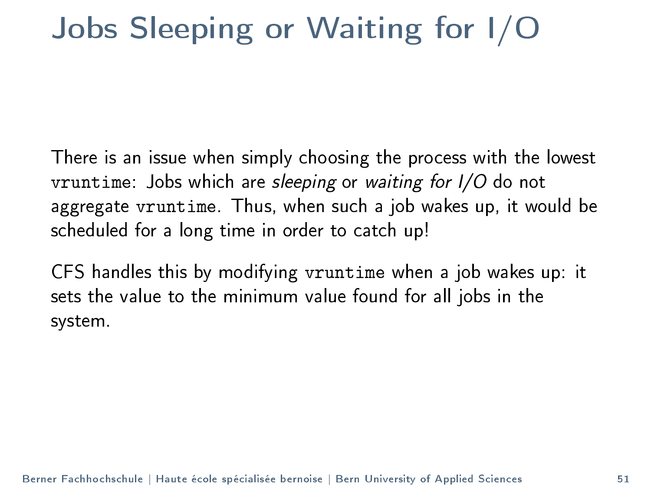#### Jobs Sleeping or Waiting for I/O

There is an issue when simply choosing the process with the lowest vruntime: Jobs which are sleeping or waiting for I/O do not aggregate vruntime. Thus, when such a job wakes up, it would be scheduled for a long time in order to catch up!

CFS handles this by modifying vruntime when a job wakes up: it sets the value to the minimum value found for all jobs in the system.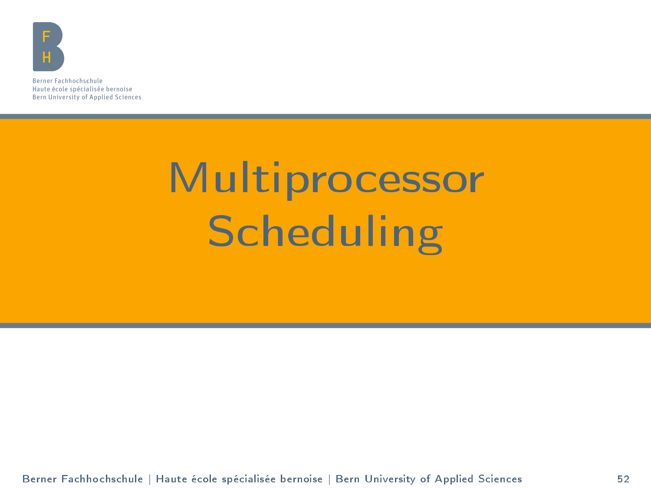<span id="page-51-0"></span>

Berner Fachhochschule Haute école spécialisée bernoise Bern University of Applied Sciences

# **[Multiprocessor](#page-51-0) [Scheduling](#page-51-0)**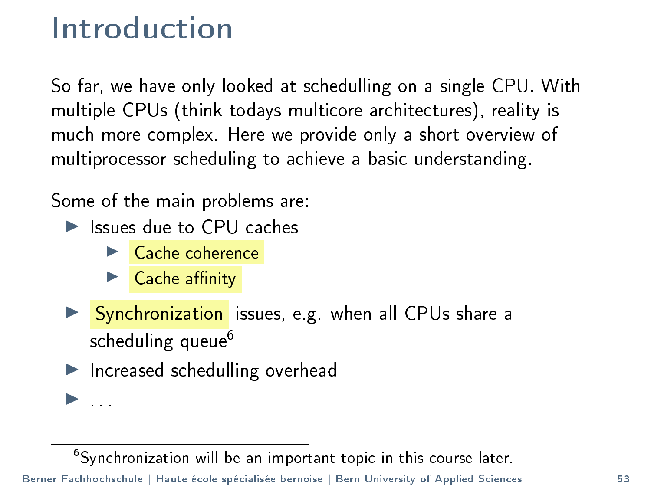#### Introduction

So far, we have only looked at schedulling on a single CPU. With multiple CPUs (think todays multicore architectures), reality is much more complex. Here we provide only a short overview of multiprocessor scheduling to achieve a basic understanding.

Some of the main problems are:

- $\blacktriangleright$  Issues due to CPU caches
	- $\blacktriangleright$  Cache coherence
	- $\blacktriangleright$  Cache affinity
- **I** Synchronization issues, e.g. when all CPUs share a scheduling queue<sup>6</sup>
- $\blacktriangleright$  Increased schedulling overhead

<sup>6</sup>Synchronization will be an important topic in this course later.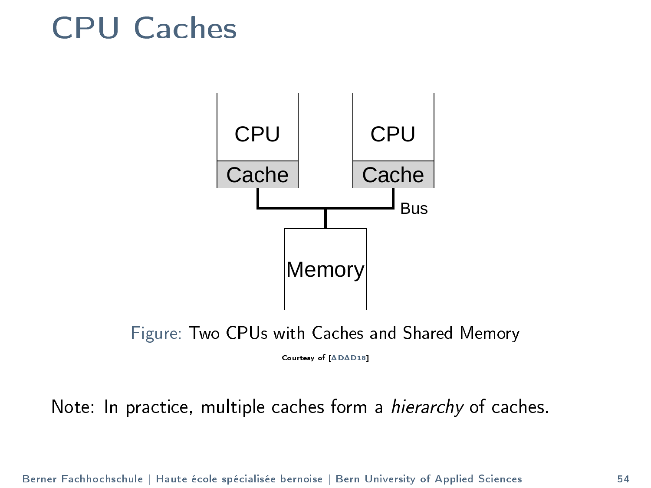#### CPU Caches





Courtesy of [\[ADAD18\]](#page-57-0)

Note: In practice, multiple caches form a hierarchy of caches.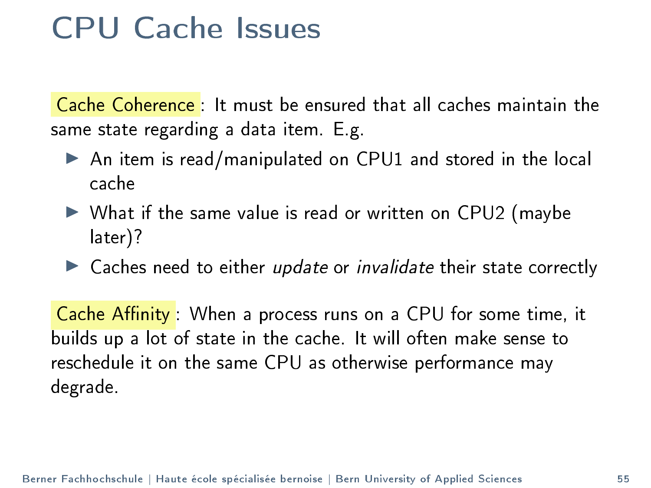#### CPU Cache Issues

Cache Coherence : It must be ensured that all caches maintain the same state regarding a data item. E.g.

- $\triangleright$  An item is read/manipulated on CPU1 and stored in the local cache
- $\triangleright$  What if the same value is read or written on CPU2 (maybe later)?
- $\blacktriangleright$  Caches need to either update or invalidate their state correctly

Cache Affinity: When a process runs on a CPU for some time, it builds up a lot of state in the cache. It will often make sense to reschedule it on the same CPU as otherwise performance may degrade.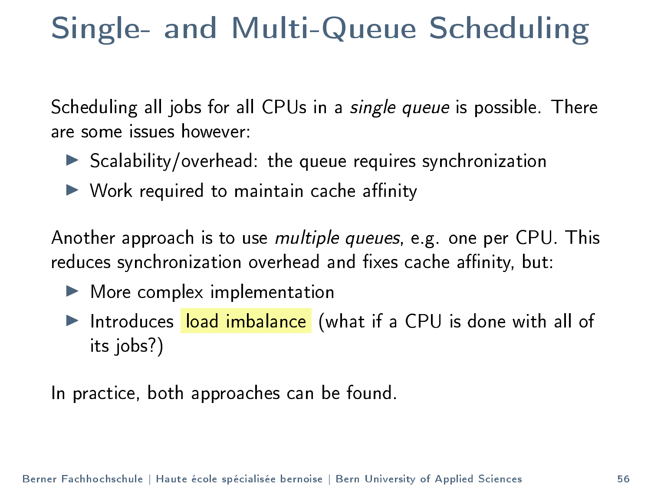#### Single- and Multi-Queue Scheduling

Scheduling all jobs for all CPUs in a *single queue* is possible. There are some issues however:

- $\triangleright$  Scalability/overhead: the queue requires synchronization
- $\blacktriangleright$  Work required to maintain cache affinity

Another approach is to use multiple queues, e.g. one per CPU. This reduces synchronization overhead and fixes cache affinity, but:

- $\blacktriangleright$  More complex implementation
- Introduces load imbalance (what if a CPU is done with all of its jobs?)

In practice, both approaches can be found.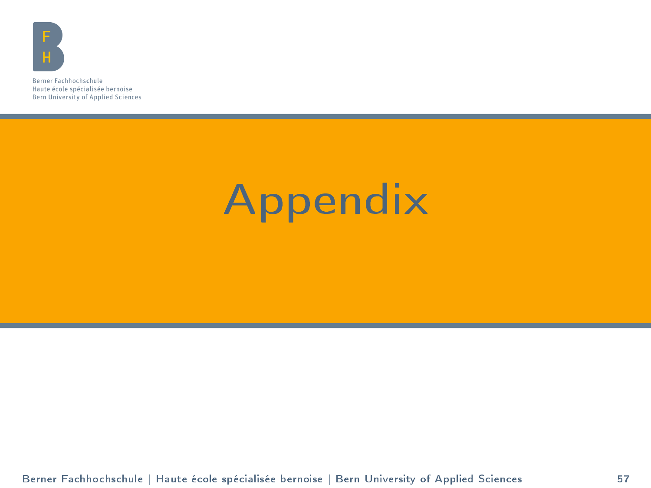<span id="page-56-0"></span>

Berner Fachhochschule Haute école spécialisée bernoise Bern University of Applied Sciences

## [Appendix](#page-56-0)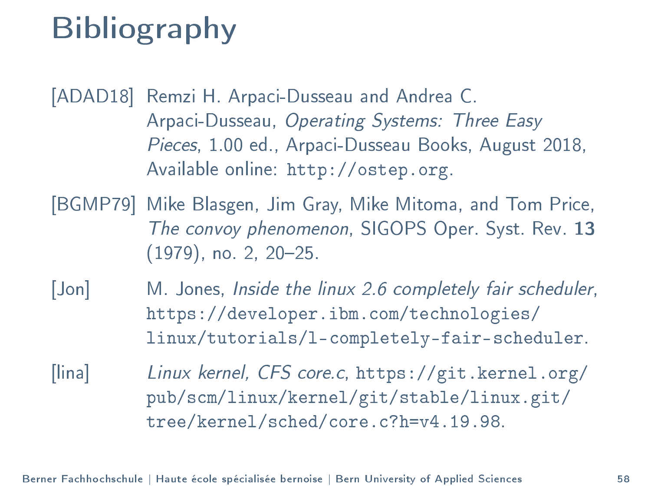### Bibliography

<span id="page-57-0"></span>[ADAD18] Remzi H. Arpaci-Dusseau and Andrea C. Arpaci-Dusseau, Operating Systems: Three Easy Pieces, 1.00 ed., Arpaci-Dusseau Books, August 2018, Available online: [http://ostep.org.](http://ostep.org)

- <span id="page-57-1"></span>[BGMP79] Mike Blasgen, Jim Gray, Mike Mitoma, and Tom Price, The convoy phenomenon, SIGOPS Oper. Syst. Rev. 13 (1979), no. 2, 20–25.
- <span id="page-57-2"></span>[Jon] M. Jones, Inside the linux 2.6 completely fair scheduler, [https://developer.ibm.com/technologies/](https://developer.ibm.com/technologies/linux/tutorials/l-completely-fair-scheduler) [linux/tutorials/l-completely-fair-scheduler.](https://developer.ibm.com/technologies/linux/tutorials/l-completely-fair-scheduler)
- <span id="page-57-3"></span>[lina] Linux kernel, CFS core.c, [https://git.kernel.org/](https://git.kernel.org/pub/scm/linux/kernel/git/stable/linux.git/tree/kernel/sched/core.c?h=v4.19.98) [pub/scm/linux/kernel/git/stable/linux.git/](https://git.kernel.org/pub/scm/linux/kernel/git/stable/linux.git/tree/kernel/sched/core.c?h=v4.19.98) [tree/kernel/sched/core.c?h=v4.19.98.](https://git.kernel.org/pub/scm/linux/kernel/git/stable/linux.git/tree/kernel/sched/core.c?h=v4.19.98)